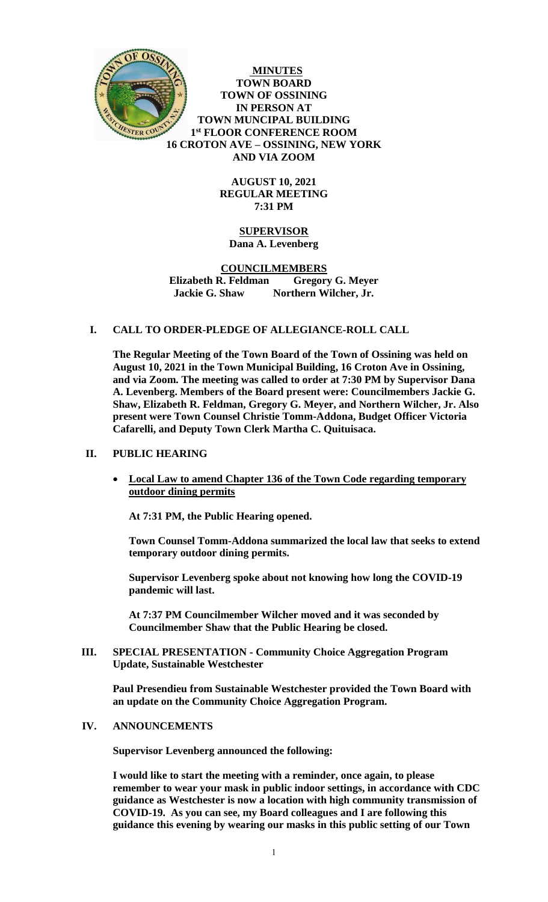

**MINUTES TOWN BOARD TOWN OF OSSINING IN PERSON AT TOWN MUNCIPAL BUILDING 1 st FLOOR CONFERENCE ROOM 16 CROTON AVE – OSSINING, NEW YORK AND VIA ZOOM**

> **AUGUST 10, 2021 REGULAR MEETING 7:31 PM**

# **SUPERVISOR Dana A. Levenberg**

## **COUNCILMEMBERS Elizabeth R. Feldman Gregory G. Meyer Jackie G. Shaw Northern Wilcher, Jr.**

# **I. CALL TO ORDER-PLEDGE OF ALLEGIANCE-ROLL CALL**

**The Regular Meeting of the Town Board of the Town of Ossining was held on August 10, 2021 in the Town Municipal Building, 16 Croton Ave in Ossining, and via Zoom. The meeting was called to order at 7:30 PM by Supervisor Dana A. Levenberg. Members of the Board present were: Councilmembers Jackie G. Shaw, Elizabeth R. Feldman, Gregory G. Meyer, and Northern Wilcher, Jr. Also present were Town Counsel Christie Tomm-Addona, Budget Officer Victoria Cafarelli, and Deputy Town Clerk Martha C. Quituisaca.**

# **II. PUBLIC HEARING**

 **Local Law to amend Chapter 136 of the Town Code regarding temporary outdoor dining permits**

**At 7:31 PM, the Public Hearing opened.** 

**Town Counsel Tomm-Addona summarized the local law that seeks to extend temporary outdoor dining permits.**

**Supervisor Levenberg spoke about not knowing how long the COVID-19 pandemic will last.** 

**At 7:37 PM Councilmember Wilcher moved and it was seconded by Councilmember Shaw that the Public Hearing be closed.**

**III. SPECIAL PRESENTATION - Community Choice Aggregation Program Update, Sustainable Westchester**

**Paul Presendieu from Sustainable Westchester provided the Town Board with an update on the Community Choice Aggregation Program.** 

#### **IV. ANNOUNCEMENTS**

**Supervisor Levenberg announced the following:**

**I would like to start the meeting with a reminder, once again, to please remember to wear your mask in public indoor settings, in accordance with CDC guidance as Westchester is now a location with high community transmission of COVID-19. As you can see, my Board colleagues and I are following this guidance this evening by wearing our masks in this public setting of our Town**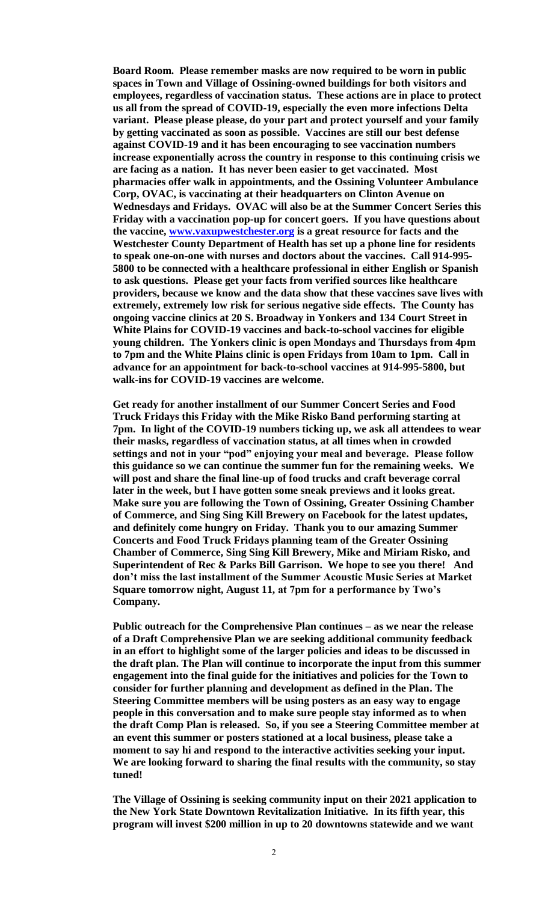**Board Room. Please remember masks are now required to be worn in public spaces in Town and Village of Ossining-owned buildings for both visitors and employees, regardless of vaccination status. These actions are in place to protect us all from the spread of COVID-19, especially the even more infections Delta variant. Please please please, do your part and protect yourself and your family by getting vaccinated as soon as possible. Vaccines are still our best defense against COVID-19 and it has been encouraging to see vaccination numbers increase exponentially across the country in response to this continuing crisis we are facing as a nation. It has never been easier to get vaccinated. Most pharmacies offer walk in appointments, and the Ossining Volunteer Ambulance Corp, OVAC, is vaccinating at their headquarters on Clinton Avenue on Wednesdays and Fridays. OVAC will also be at the Summer Concert Series this Friday with a vaccination pop-up for concert goers. If you have questions about the vaccine, [www.vaxupwestchester.org](http://www.vaxupwestchester.org/) is a great resource for facts and the Westchester County Department of Health has set up a phone line for residents to speak one-on-one with nurses and doctors about the vaccines. Call 914-995- 5800 to be connected with a healthcare professional in either English or Spanish to ask questions. Please get your facts from verified sources like healthcare providers, because we know and the data show that these vaccines save lives with extremely, extremely low risk for serious negative side effects. The County has ongoing vaccine clinics at 20 S. Broadway in Yonkers and 134 Court Street in White Plains for COVID-19 vaccines and back-to-school vaccines for eligible young children. The Yonkers clinic is open Mondays and Thursdays from 4pm to 7pm and the White Plains clinic is open Fridays from 10am to 1pm. Call in advance for an appointment for back-to-school vaccines at 914-995-5800, but walk-ins for COVID-19 vaccines are welcome.** 

**Get ready for another installment of our Summer Concert Series and Food Truck Fridays this Friday with the Mike Risko Band performing starting at 7pm. In light of the COVID-19 numbers ticking up, we ask all attendees to wear their masks, regardless of vaccination status, at all times when in crowded settings and not in your "pod" enjoying your meal and beverage. Please follow this guidance so we can continue the summer fun for the remaining weeks. We will post and share the final line-up of food trucks and craft beverage corral later in the week, but I have gotten some sneak previews and it looks great. Make sure you are following the Town of Ossining, Greater Ossining Chamber of Commerce, and Sing Sing Kill Brewery on Facebook for the latest updates, and definitely come hungry on Friday. Thank you to our amazing Summer Concerts and Food Truck Fridays planning team of the Greater Ossining Chamber of Commerce, Sing Sing Kill Brewery, Mike and Miriam Risko, and Superintendent of Rec & Parks Bill Garrison. We hope to see you there! And don't miss the last installment of the Summer Acoustic Music Series at Market Square tomorrow night, August 11, at 7pm for a performance by Two's Company.** 

**Public outreach for the Comprehensive Plan continues – as we near the release of a Draft Comprehensive Plan we are seeking additional community feedback in an effort to highlight some of the larger policies and ideas to be discussed in the draft plan. The Plan will continue to incorporate the input from this summer engagement into the final guide for the initiatives and policies for the Town to consider for further planning and development as defined in the Plan. The Steering Committee members will be using posters as an easy way to engage people in this conversation and to make sure people stay informed as to when the draft Comp Plan is released. So, if you see a Steering Committee member at an event this summer or posters stationed at a local business, please take a moment to say hi and respond to the interactive activities seeking your input. We are looking forward to sharing the final results with the community, so stay tuned!** 

**The Village of Ossining is seeking community input on their 2021 application to the New York State Downtown Revitalization Initiative. In its fifth year, this program will invest \$200 million in up to 20 downtowns statewide and we want**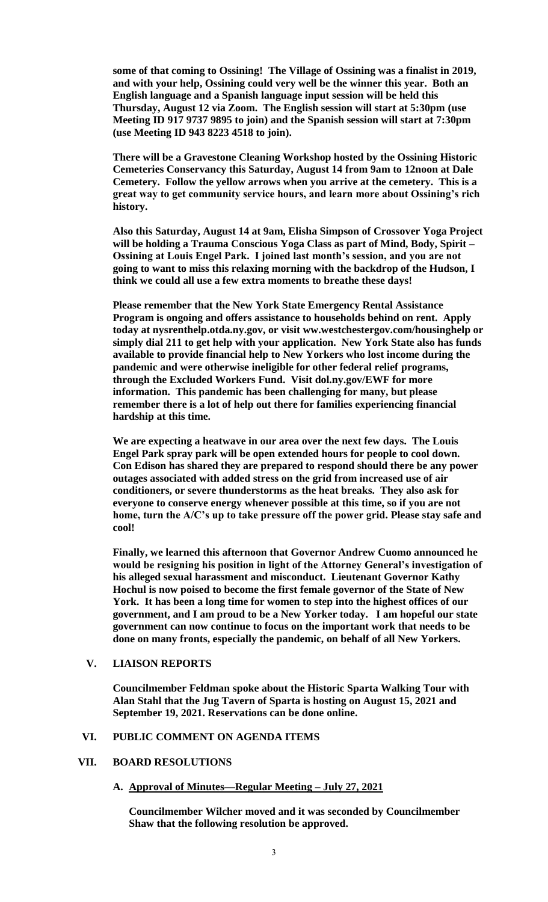**some of that coming to Ossining! The Village of Ossining was a finalist in 2019, and with your help, Ossining could very well be the winner this year. Both an English language and a Spanish language input session will be held this Thursday, August 12 via Zoom. The English session will start at 5:30pm (use Meeting ID 917 9737 9895 to join) and the Spanish session will start at 7:30pm (use Meeting ID 943 8223 4518 to join).** 

**There will be a Gravestone Cleaning Workshop hosted by the Ossining Historic Cemeteries Conservancy this Saturday, August 14 from 9am to 12noon at Dale Cemetery. Follow the yellow arrows when you arrive at the cemetery. This is a great way to get community service hours, and learn more about Ossining's rich history.** 

**Also this Saturday, August 14 at 9am, Elisha Simpson of Crossover Yoga Project will be holding a Trauma Conscious Yoga Class as part of Mind, Body, Spirit – Ossining at Louis Engel Park. I joined last month's session, and you are not going to want to miss this relaxing morning with the backdrop of the Hudson, I think we could all use a few extra moments to breathe these days!**

**Please remember that the New York State Emergency Rental Assistance Program is ongoing and offers assistance to households behind on rent. Apply today at nysrenthelp.otda.ny.gov, or visit ww.westchestergov.com/housinghelp or simply dial 211 to get help with your application. New York State also has funds available to provide financial help to New Yorkers who lost income during the pandemic and were otherwise ineligible for other federal relief programs, through the Excluded Workers Fund. Visit dol.ny.gov/EWF for more information. This pandemic has been challenging for many, but please remember there is a lot of help out there for families experiencing financial hardship at this time.** 

**We are expecting a heatwave in our area over the next few days. The Louis Engel Park spray park will be open extended hours for people to cool down. Con Edison has shared they are prepared to respond should there be any power outages associated with added stress on the grid from increased use of air conditioners, or severe thunderstorms as the heat breaks. They also ask for everyone to conserve energy whenever possible at this time, so if you are not home, turn the A/C's up to take pressure off the power grid. Please stay safe and cool!**

**Finally, we learned this afternoon that Governor Andrew Cuomo announced he would be resigning his position in light of the Attorney General's investigation of his alleged sexual harassment and misconduct. Lieutenant Governor Kathy Hochul is now poised to become the first female governor of the State of New York. It has been a long time for women to step into the highest offices of our government, and I am proud to be a New Yorker today. I am hopeful our state government can now continue to focus on the important work that needs to be done on many fronts, especially the pandemic, on behalf of all New Yorkers.**

**V. LIAISON REPORTS**

**Councilmember Feldman spoke about the Historic Sparta Walking Tour with Alan Stahl that the Jug Tavern of Sparta is hosting on August 15, 2021 and September 19, 2021. Reservations can be done online.** 

#### **VI. PUBLIC COMMENT ON AGENDA ITEMS**

### **VII. BOARD RESOLUTIONS**

#### **A. Approval of Minutes—Regular Meeting – July 27, 2021**

**Councilmember Wilcher moved and it was seconded by Councilmember Shaw that the following resolution be approved.**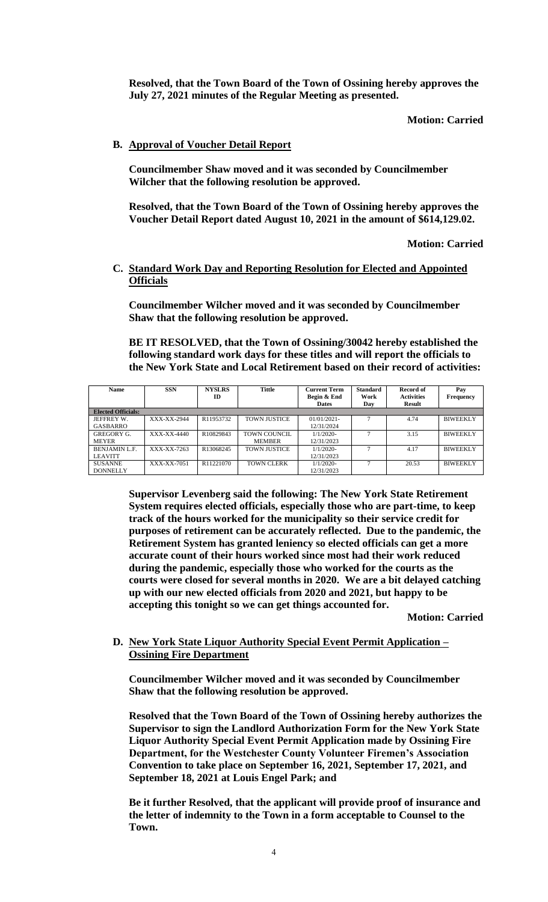**Resolved, that the Town Board of the Town of Ossining hereby approves the July 27, 2021 minutes of the Regular Meeting as presented.**

**Motion: Carried**

## **B. Approval of Voucher Detail Report**

**Councilmember Shaw moved and it was seconded by Councilmember Wilcher that the following resolution be approved.** 

**Resolved, that the Town Board of the Town of Ossining hereby approves the Voucher Detail Report dated August 10, 2021 in the amount of \$614,129.02.**

**Motion: Carried**

## **C. Standard Work Day and Reporting Resolution for Elected and Appointed Officials**

**Councilmember Wilcher moved and it was seconded by Councilmember Shaw that the following resolution be approved.** 

#### **BE IT RESOLVED, that the Town of Ossining/30042 hereby established the following standard work days for these titles and will report the officials to the New York State and Local Retirement based on their record of activities:**

| <b>Name</b>               | <b>SSN</b>  | <b>NYSLRS</b><br>ID | Tittle              | <b>Current Term</b><br>Begin & End | <b>Standard</b><br>Work | Record of<br><b>Activities</b> | Pay<br><b>Frequency</b> |
|---------------------------|-------------|---------------------|---------------------|------------------------------------|-------------------------|--------------------------------|-------------------------|
|                           |             |                     |                     | <b>Dates</b>                       | Day                     | Result                         |                         |
| <b>Elected Officials:</b> |             |                     |                     |                                    |                         |                                |                         |
| JEFFREY W.                | XXX-XX-2944 | R11953732           | <b>TOWN JUSTICE</b> | $01/01/2021$ -                     |                         | 4.74                           | <b>BIWEEKLY</b>         |
| GASBARRO                  |             |                     |                     | 12/31/2024                         |                         |                                |                         |
| <b>GREGORY G.</b>         | XXX-XX-4440 | R10829843           | TOWN COUNCIL        | $1/1/2020$ -                       | 7                       | 3.15                           | <b>BIWEEKLY</b>         |
| <b>MEYER</b>              |             |                     | <b>MEMBER</b>       | 12/31/2023                         |                         |                                |                         |
| <b>BENJAMIN L.F.</b>      | XXX-XX-7263 | R13068245           | <b>TOWN JUSTICE</b> | $1/1/2020$ -                       |                         | 4.17                           | <b>BIWEEKLY</b>         |
| <b>LEAVITT</b>            |             |                     |                     | 12/31/2023                         |                         |                                |                         |
| <b>SUSANNE</b>            | XXX-XX-7051 | R11221070           | <b>TOWN CLERK</b>   | $1/1/2020$ -                       |                         | 20.53                          | <b>BIWEEKLY</b>         |
| <b>DONNELLY</b>           |             |                     |                     | 12/31/2023                         |                         |                                |                         |

**Supervisor Levenberg said the following: The New York State Retirement System requires elected officials, especially those who are part-time, to keep track of the hours worked for the municipality so their service credit for purposes of retirement can be accurately reflected. Due to the pandemic, the Retirement System has granted leniency so elected officials can get a more accurate count of their hours worked since most had their work reduced during the pandemic, especially those who worked for the courts as the courts were closed for several months in 2020. We are a bit delayed catching up with our new elected officials from 2020 and 2021, but happy to be accepting this tonight so we can get things accounted for.**

**Motion: Carried**

#### **D. New York State Liquor Authority Special Event Permit Application – Ossining Fire Department**

**Councilmember Wilcher moved and it was seconded by Councilmember Shaw that the following resolution be approved.** 

**Resolved that the Town Board of the Town of Ossining hereby authorizes the Supervisor to sign the Landlord Authorization Form for the New York State Liquor Authority Special Event Permit Application made by Ossining Fire Department, for the Westchester County Volunteer Firemen's Association Convention to take place on September 16, 2021, September 17, 2021, and September 18, 2021 at Louis Engel Park; and** 

**Be it further Resolved, that the applicant will provide proof of insurance and the letter of indemnity to the Town in a form acceptable to Counsel to the Town.**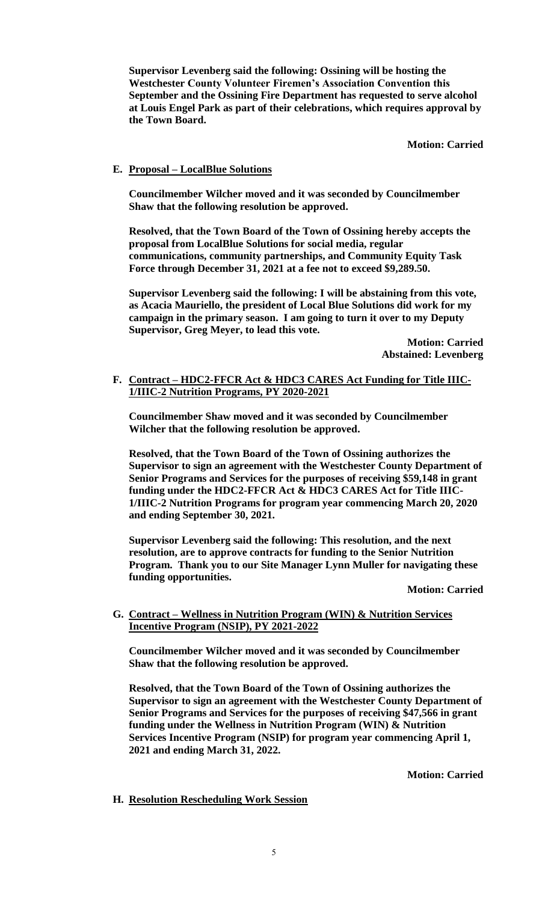**Supervisor Levenberg said the following: Ossining will be hosting the Westchester County Volunteer Firemen's Association Convention this September and the Ossining Fire Department has requested to serve alcohol at Louis Engel Park as part of their celebrations, which requires approval by the Town Board.**

**Motion: Carried**

## **E. Proposal – LocalBlue Solutions**

**Councilmember Wilcher moved and it was seconded by Councilmember Shaw that the following resolution be approved.** 

**Resolved, that the Town Board of the Town of Ossining hereby accepts the proposal from LocalBlue Solutions for social media, regular communications, community partnerships, and Community Equity Task Force through December 31, 2021 at a fee not to exceed \$9,289.50.** 

**Supervisor Levenberg said the following: I will be abstaining from this vote, as Acacia Mauriello, the president of Local Blue Solutions did work for my campaign in the primary season. I am going to turn it over to my Deputy Supervisor, Greg Meyer, to lead this vote.**

> **Motion: Carried Abstained: Levenberg**

**F. Contract – HDC2-FFCR Act & HDC3 CARES Act Funding for Title IIIC-1/IIIC-2 Nutrition Programs, PY 2020-2021**

**Councilmember Shaw moved and it was seconded by Councilmember Wilcher that the following resolution be approved.** 

**Resolved, that the Town Board of the Town of Ossining authorizes the Supervisor to sign an agreement with the Westchester County Department of Senior Programs and Services for the purposes of receiving \$59,148 in grant funding under the HDC2-FFCR Act & HDC3 CARES Act for Title IIIC-1/IIIC-2 Nutrition Programs for program year commencing March 20, 2020 and ending September 30, 2021.** 

**Supervisor Levenberg said the following: This resolution, and the next resolution, are to approve contracts for funding to the Senior Nutrition Program. Thank you to our Site Manager Lynn Muller for navigating these funding opportunities.**

**Motion: Carried**

**G. Contract – Wellness in Nutrition Program (WIN) & Nutrition Services Incentive Program (NSIP), PY 2021-2022**

**Councilmember Wilcher moved and it was seconded by Councilmember Shaw that the following resolution be approved.** 

**Resolved, that the Town Board of the Town of Ossining authorizes the Supervisor to sign an agreement with the Westchester County Department of Senior Programs and Services for the purposes of receiving \$47,566 in grant funding under the Wellness in Nutrition Program (WIN) & Nutrition Services Incentive Program (NSIP) for program year commencing April 1, 2021 and ending March 31, 2022.** 

**Motion: Carried**

**H. Resolution Rescheduling Work Session**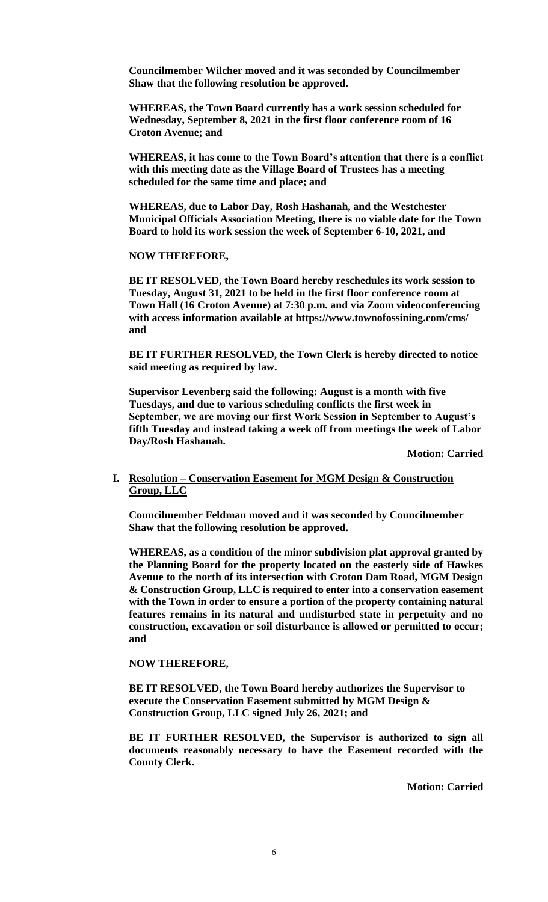**Councilmember Wilcher moved and it was seconded by Councilmember Shaw that the following resolution be approved.** 

**WHEREAS, the Town Board currently has a work session scheduled for Wednesday, September 8, 2021 in the first floor conference room of 16 Croton Avenue; and**

**WHEREAS, it has come to the Town Board's attention that there is a conflict with this meeting date as the Village Board of Trustees has a meeting scheduled for the same time and place; and**

**WHEREAS, due to Labor Day, Rosh Hashanah, and the Westchester Municipal Officials Association Meeting, there is no viable date for the Town Board to hold its work session the week of September 6-10, 2021, and**

**NOW THEREFORE,**

**BE IT RESOLVED, the Town Board hereby reschedules its work session to Tuesday, August 31, 2021 to be held in the first floor conference room at Town Hall (16 Croton Avenue) at 7:30 p.m. and via Zoom videoconferencing with access information available at https://www.townofossining.com/cms/ and**

**BE IT FURTHER RESOLVED, the Town Clerk is hereby directed to notice said meeting as required by law.** 

**Supervisor Levenberg said the following: August is a month with five Tuesdays, and due to various scheduling conflicts the first week in September, we are moving our first Work Session in September to August's fifth Tuesday and instead taking a week off from meetings the week of Labor Day/Rosh Hashanah.** 

**Motion: Carried**

# **I. Resolution – Conservation Easement for MGM Design & Construction Group, LLC**

**Councilmember Feldman moved and it was seconded by Councilmember Shaw that the following resolution be approved.** 

**WHEREAS, as a condition of the minor subdivision plat approval granted by the Planning Board for the property located on the easterly side of Hawkes Avenue to the north of its intersection with Croton Dam Road, MGM Design & Construction Group, LLC is required to enter into a conservation easement with the Town in order to ensure a portion of the property containing natural features remains in its natural and undisturbed state in perpetuity and no construction, excavation or soil disturbance is allowed or permitted to occur; and** 

**NOW THEREFORE,** 

**BE IT RESOLVED, the Town Board hereby authorizes the Supervisor to execute the Conservation Easement submitted by MGM Design & Construction Group, LLC signed July 26, 2021; and**

**BE IT FURTHER RESOLVED, the Supervisor is authorized to sign all documents reasonably necessary to have the Easement recorded with the County Clerk.**

**Motion: Carried**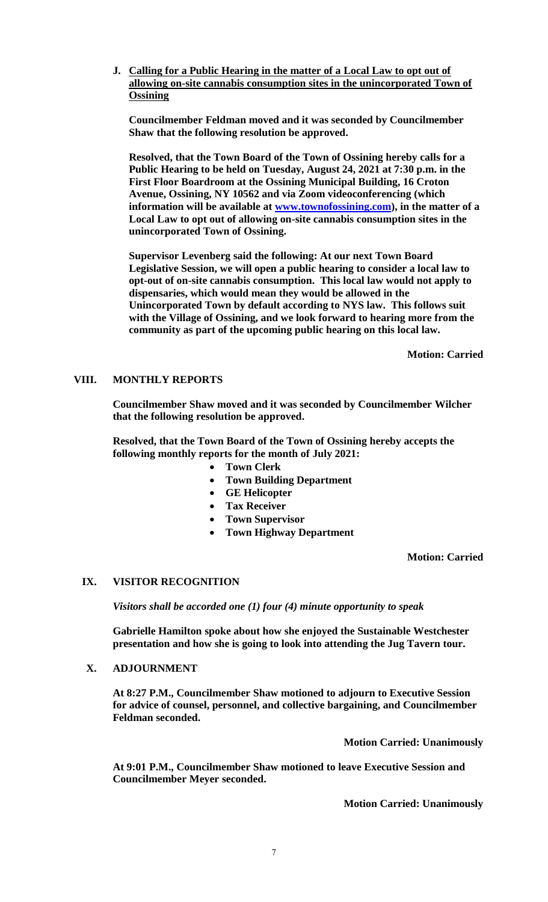**J. Calling for a Public Hearing in the matter of a Local Law to opt out of allowing on-site cannabis consumption sites in the unincorporated Town of Ossining**

**Councilmember Feldman moved and it was seconded by Councilmember Shaw that the following resolution be approved.** 

**Resolved, that the Town Board of the Town of Ossining hereby calls for a Public Hearing to be held on Tuesday, August 24, 2021 at 7:30 p.m. in the First Floor Boardroom at the Ossining Municipal Building, 16 Croton Avenue, Ossining, NY 10562 and via Zoom videoconferencing (which information will be available at [www.townofossining.com\)](http://www.townofossining.com/), in the matter of a Local Law to opt out of allowing on-site cannabis consumption sites in the unincorporated Town of Ossining.**

**Supervisor Levenberg said the following: At our next Town Board Legislative Session, we will open a public hearing to consider a local law to opt-out of on-site cannabis consumption. This local law would not apply to dispensaries, which would mean they would be allowed in the Unincorporated Town by default according to NYS law. This follows suit with the Village of Ossining, and we look forward to hearing more from the community as part of the upcoming public hearing on this local law.**

**Motion: Carried**

# **VIII. MONTHLY REPORTS**

**Councilmember Shaw moved and it was seconded by Councilmember Wilcher that the following resolution be approved.** 

**Resolved, that the Town Board of the Town of Ossining hereby accepts the following monthly reports for the month of July 2021:**

- **Town Clerk**
- **Town Building Department**
- **GE Helicopter**
- **Tax Receiver**
- **Town Supervisor**
- **Town Highway Department**

**Motion: Carried**

# **IX. VISITOR RECOGNITION**

*Visitors shall be accorded one (1) four (4) minute opportunity to speak*

**Gabrielle Hamilton spoke about how she enjoyed the Sustainable Westchester presentation and how she is going to look into attending the Jug Tavern tour.** 

# **X. ADJOURNMENT**

**At 8:27 P.M., Councilmember Shaw motioned to adjourn to Executive Session for advice of counsel, personnel, and collective bargaining, and Councilmember Feldman seconded.**

**Motion Carried: Unanimously**

**At 9:01 P.M., Councilmember Shaw motioned to leave Executive Session and Councilmember Meyer seconded.**

**Motion Carried: Unanimously**